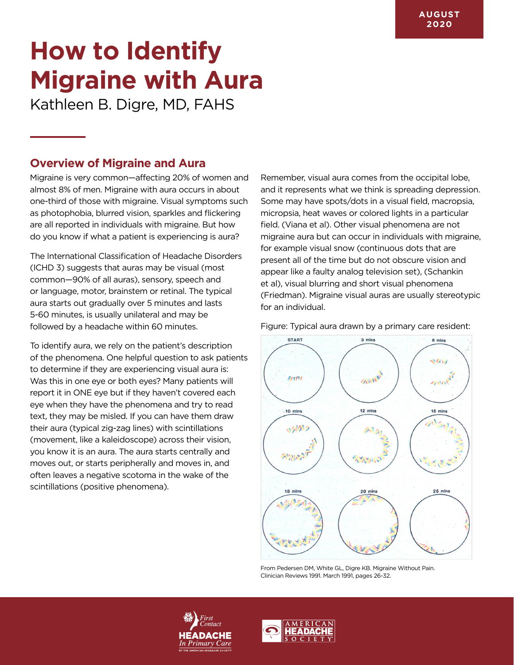# **How to Identify Migraine with Aura**

Kathleen B. Digre, MD, FAHS

#### **Overview of Migraine and Aura**

Migraine is very common—affecting 20% of women and almost 8% of men. Migraine with aura occurs in about one-third of those with migraine. Visual symptoms such as photophobia, blurred vision, sparkles and flickering are all reported in individuals with migraine. But how do you know if what a patient is experiencing is aura?

The International Classification of Headache Disorders (ICHD 3) suggests that auras may be visual (most common—90% of all auras), sensory, speech and or language, motor, brainstem or retinal. The typical aura starts out gradually over 5 minutes and lasts 5-60 minutes, is usually unilateral and may be followed by a headache within 60 minutes.

To identify aura, we rely on the patient's description of the phenomena. One helpful question to ask patients to determine if they are experiencing visual aura is: Was this in one eye or both eyes? Many patients will report it in ONE eye but if they haven't covered each eye when they have the phenomena and try to read text, they may be misled. If you can have them draw their aura (typical zig-zag lines) with scintillations (movement, like a kaleidoscope) across their vision, you know it is an aura. The aura starts centrally and moves out, or starts peripherally and moves in, and often leaves a negative scotoma in the wake of the scintillations (positive phenomena).

Remember, visual aura comes from the occipital lobe, and it represents what we think is spreading depression. Some may have spots/dots in a visual field, macropsia, micropsia, heat waves or colored lights in a particular field. (Viana et al). Other visual phenomena are not migraine aura but can occur in individuals with migraine, for example visual snow (continuous dots that are present all of the time but do not obscure vision and appear like a faulty analog television set), (Schankin et al), visual blurring and short visual phenomena (Friedman). Migraine visual auras are usually stereotypic for an individual.

Figure: Typical aura drawn by a primary care resident:



From Pedersen DM, White GL, Digre KB. Migraine Without Pain. Clinician Reviews 1991. March 1991, pages 26-32.



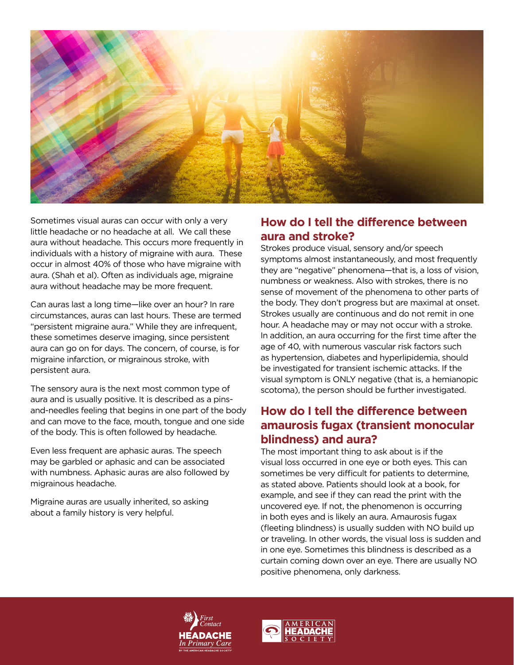

Sometimes visual auras can occur with only a very little headache or no headache at all. We call these aura without headache. This occurs more frequently in individuals with a history of migraine with aura. These occur in almost 40% of those who have migraine with aura. (Shah et al). Often as individuals age, migraine aura without headache may be more frequent.

Can auras last a long time—like over an hour? In rare circumstances, auras can last hours. These are termed "persistent migraine aura." While they are infrequent, these sometimes deserve imaging, since persistent aura can go on for days. The concern, of course, is for migraine infarction, or migrainous stroke, with persistent aura.

The sensory aura is the next most common type of aura and is usually positive. It is described as a pinsand-needles feeling that begins in one part of the body and can move to the face, mouth, tongue and one side of the body. This is often followed by headache.

Even less frequent are aphasic auras. The speech may be garbled or aphasic and can be associated with numbness. Aphasic auras are also followed by migrainous headache.

Migraine auras are usually inherited, so asking about a family history is very helpful.

### **How do I tell the difference between aura and stroke?**

Strokes produce visual, sensory and/or speech symptoms almost instantaneously, and most frequently they are "negative" phenomena—that is, a loss of vision, numbness or weakness. Also with strokes, there is no sense of movement of the phenomena to other parts of the body. They don't progress but are maximal at onset. Strokes usually are continuous and do not remit in one hour. A headache may or may not occur with a stroke. In addition, an aura occurring for the first time after the age of 40, with numerous vascular risk factors such as hypertension, diabetes and hyperlipidemia, should be investigated for transient ischemic attacks. If the visual symptom is ONLY negative (that is, a hemianopic scotoma), the person should be further investigated.

### **How do I tell the difference between amaurosis fugax (transient monocular blindness) and aura?**

The most important thing to ask about is if the visual loss occurred in one eye or both eyes. This can sometimes be very difficult for patients to determine, as stated above. Patients should look at a book, for example, and see if they can read the print with the uncovered eye. If not, the phenomenon is occurring in both eyes and is likely an aura. Amaurosis fugax (fleeting blindness) is usually sudden with NO build up or traveling. In other words, the visual loss is sudden and in one eye. Sometimes this blindness is described as a curtain coming down over an eye. There are usually NO positive phenomena, only darkness.